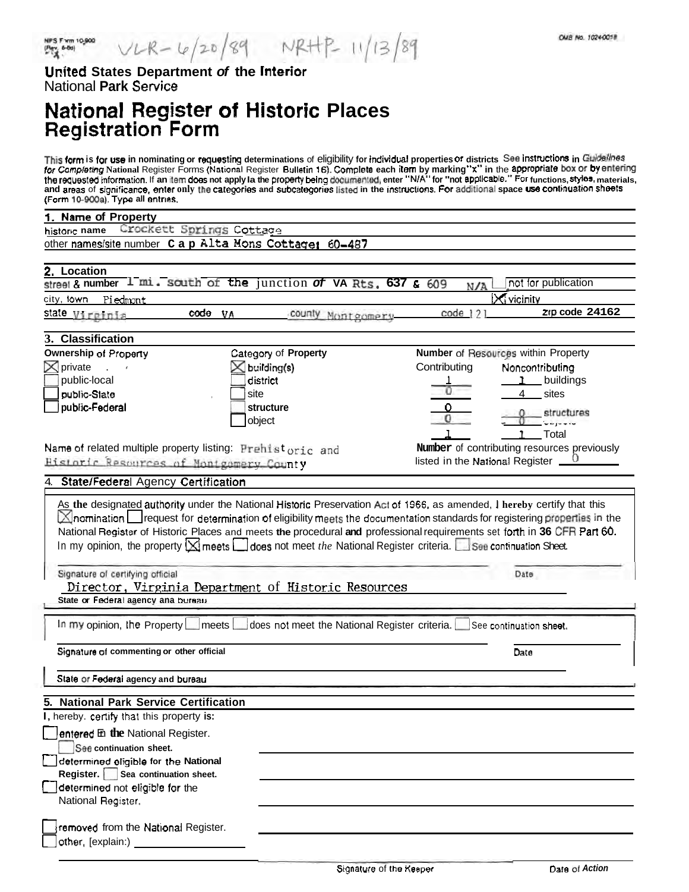United States Department of the Interior **National Park Service** 

## National Register of Historic Places<br>Registration Form

This form is for use in nominating or requesting determinations of eligibility for individual properties or districts See instructions in Guidelines<br>for Completing National Register Forms (National Register Bulletin 16). C

| $\mu$ of the to-social the calculus.                                                                                                       |                                             |
|--------------------------------------------------------------------------------------------------------------------------------------------|---------------------------------------------|
| 1. Name of Property                                                                                                                        |                                             |
| Crockett Springs Cottage<br>historic name                                                                                                  |                                             |
| other names/site number Cap Alta Mons Cottage:<br>60-487                                                                                   |                                             |
|                                                                                                                                            |                                             |
| 2. Location<br>street & number $1$ mi. south of the junction of VA Rts, 637 & 609                                                          | not for publication                         |
|                                                                                                                                            | N/A                                         |
| city, lown<br><b>Piedmont</b>                                                                                                              | <b>X</b> vicinity                           |
| code VA<br>county Montgomery<br>state Virginia                                                                                             | Zip code 24162<br>$code$ 121                |
| 3. Classification                                                                                                                          |                                             |
| Category of Property<br>Ownership of Property                                                                                              | Number of Resources within Property         |
| $\bowtie$ private<br>$\boxtimes$ building(s)<br>$\mathbf{L}$                                                                               | Contributing<br>Noncontributing             |
| public-local<br>district                                                                                                                   | buildings                                   |
| public-State<br>site                                                                                                                       | 4<br>sites                                  |
| public-Federal<br>structure                                                                                                                |                                             |
| object                                                                                                                                     | structures                                  |
|                                                                                                                                            | Total                                       |
| Name of related multiple property listing: Prehistoric and                                                                                 | Number of contributing resources previously |
| Historic Resources of Montgomery County                                                                                                    | listed in the National Register _           |
| 4. State/Federal Agency Certification                                                                                                      |                                             |
|                                                                                                                                            |                                             |
| As the designated authority under the National Historic Preservation Act of 1966, as amended, I hereby certify that this                   |                                             |
| $\boxtimes$ nomination $\Box$ request for determination of eligibility meets the documentation standards for registering properties in the |                                             |
| National Register of Historic Places and meets the procedural and professional requirements set forth in 36 CFR Part 60.                   |                                             |
| In my opinion, the property $\boxtimes$ meets $\Box$ does not meet the National Register criteria. See continuation Sheet.                 |                                             |
|                                                                                                                                            |                                             |
| Signature of certifying official                                                                                                           | Date                                        |
| <u>Director, Virginia Department of Historic Resources</u>                                                                                 |                                             |
| State or Federal agency ana bureau                                                                                                         |                                             |
|                                                                                                                                            |                                             |
| In my opinion, the Property L<br>does not meet the National Register criteria.<br>∣meets l                                                 | See continuation sheet.                     |
|                                                                                                                                            |                                             |
| Signature of commenting or other official                                                                                                  | Date                                        |
|                                                                                                                                            |                                             |
| State or Federal agency and bureau                                                                                                         |                                             |
| 5. National Park Service Certification                                                                                                     |                                             |
| I, hereby. certify that this property is:                                                                                                  |                                             |
| $\Box$ entered En the National Register.                                                                                                   |                                             |
| See continuation sheet.                                                                                                                    |                                             |
| determined eligible for the National                                                                                                       |                                             |
| Register.   Sea continuation sheet.                                                                                                        |                                             |
| determined not eligible for the                                                                                                            |                                             |
| National Register.                                                                                                                         |                                             |
|                                                                                                                                            |                                             |
| removed from the National Register.                                                                                                        |                                             |
| other, [explain:)                                                                                                                          |                                             |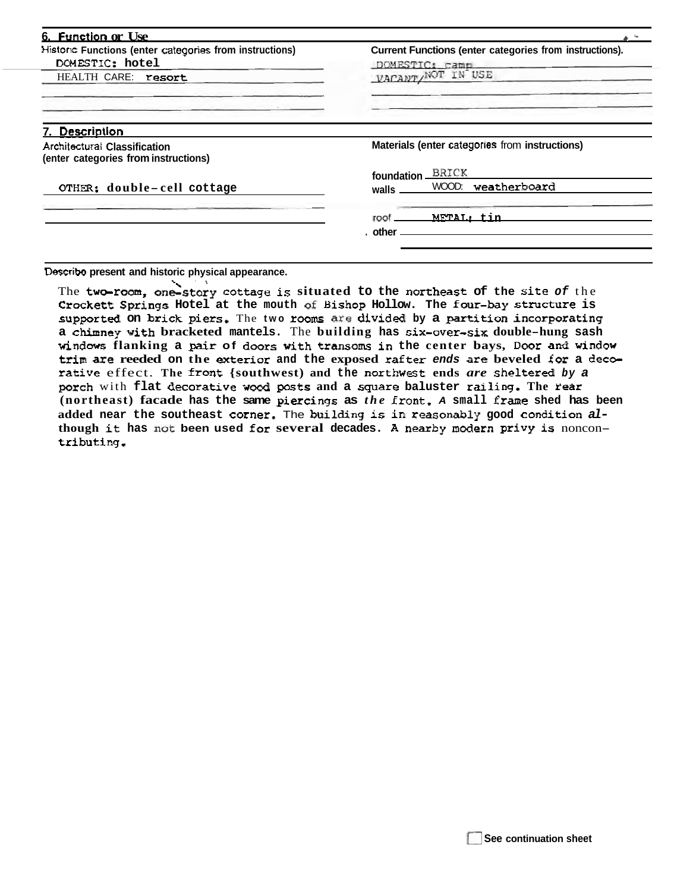| 6. Function or Use                                                          |                                                                           |  |  |  |  |
|-----------------------------------------------------------------------------|---------------------------------------------------------------------------|--|--|--|--|
| Historic Functions (enter categories from instructions)<br>DOMESTIC: hotel  | Current Functions (enter categories from instructions).<br>DOMESTIC: camp |  |  |  |  |
| HEALTH CARE: resort                                                         | VACANT/NOT IN USE                                                         |  |  |  |  |
| 7. Description                                                              |                                                                           |  |  |  |  |
| <b>Architectural Classification</b><br>(enter categories from instructions) | Materials (enter categories from instructions)                            |  |  |  |  |
|                                                                             | BRICK<br>foundation                                                       |  |  |  |  |
| OTHER: double-cell cottage                                                  | weatherboard<br>WOOD:<br>walls                                            |  |  |  |  |
|                                                                             | METAL: tin<br>roof                                                        |  |  |  |  |
|                                                                             | . other <sub>-</sub>                                                      |  |  |  |  |

**Describe present and historic physical appearance.** 

The two-room, one-story cottage is situated to the northeast of the site of the **Crockett Springs Hotel at the mouth of Bishop Hollow. The four-bay structure is supported on brick piers.** The **two rooms we divided by a** partition **incorporating <sup>a</sup>**chfmney **with bracketed mantels.** The **building has six-over-six double-hung sash windows flanking a pair of doors with transoms in the center bays, Door and window**  trim **are reeded on the exterior and the exposed** rafter **ends are beveled for a decrative** effect. **The** front **{southwest) and the** northwest **ends** *are* **sheltered by a porch** with **flat decorative wod psts and a square baluster railing. The rear (northeast) facade has the same piercings as** *the* front. **A small** frame **shed has been added near the southeast corner,** The **building is in reasonably good condition although it has not been used** for **several decades. A nearby modern privy is** noncon**tributing.**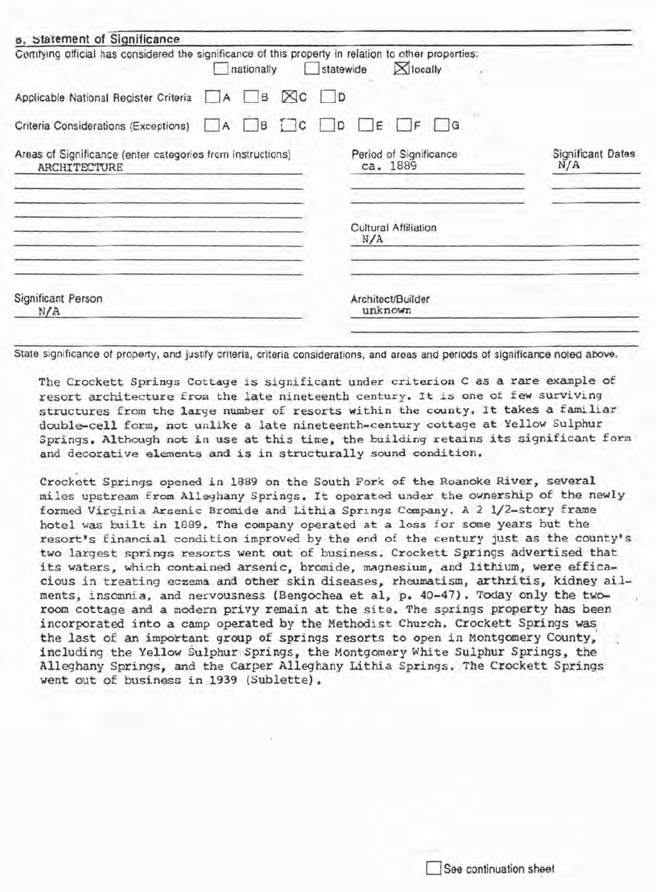| Certifying official has considered the significance of this property in relation to other properties: |  | nationally | h.                     | statewide |                                    | <b>X</b> locally     |                          |  |
|-------------------------------------------------------------------------------------------------------|--|------------|------------------------|-----------|------------------------------------|----------------------|--------------------------|--|
| Applicable National Register Criteria A B                                                             |  |            | $\boxtimes$ c $\Box$ p |           |                                    |                      |                          |  |
| Criteria Considerations (Exceptions) A B DC D DE DF G                                                 |  |            |                        |           |                                    |                      |                          |  |
| Areas of Significance (enter categories from instructions)<br><b>ARCHITECTURE</b>                     |  |            |                        |           | Period of Significance<br>ca. 1889 |                      | Significant Dates<br>N/A |  |
|                                                                                                       |  |            |                        |           | N/A                                | Cultural Affiliation |                          |  |
| Significant Person<br>N/A                                                                             |  |            |                        |           | unknown                            | Architect/Builder    |                          |  |

State significance of property, and justify criteria, criteria considerations, and areas and periods of significance noted above.

The Crockett Springs Cottage is significant under criterion C as a rare example of resort architecture from the late nineteenth century. It is one of few surviving structures from the large number of resorts within the county. It takes a familiar double-cell form, not unlike a late nineteenth-century cottage at Yellow Sulphur Springs. Although not in use at this time, the building retains its significant form and decorative elements and is in structurally sound condition.

Crockett Springs opened in 1889 on the South Fork of the Roanoke River, several miles upstream from Alleghany Springs. It operated under the ownership of the newly formed Virginia Arsenic Bromide and Lithia Springs Company, A 2 1/2-story frame hotel was built in 1889. The company operated at a loss for some years but the resort's financial condition improved by the end of the century just as the county's two largest springs resorts went out of business. Crockett Springs advertised that its waters, which contained arsenic, bromide, magnesium, and lithium, were efficacious in treating eczema and other skin diseases, rheumatism, arthritis, kidney ailments, insomnia, and nervousness (Bengochea et al, p. 40-47). Today only the tworoom cottage and a modern privy remain at the site. The springs property has been incorporated into a camp operated by the Methodist Church. Crockett Springs was the last of an important group of springs resorts to open in Montgomery County, including the Yellow Sulphur Springs, the Montgomery White Sulphur Springs, the Alleghany Springs, and the Carper Alleghany Lithia Springs. The Crockett Springs went out of business in 1939 (Sublette).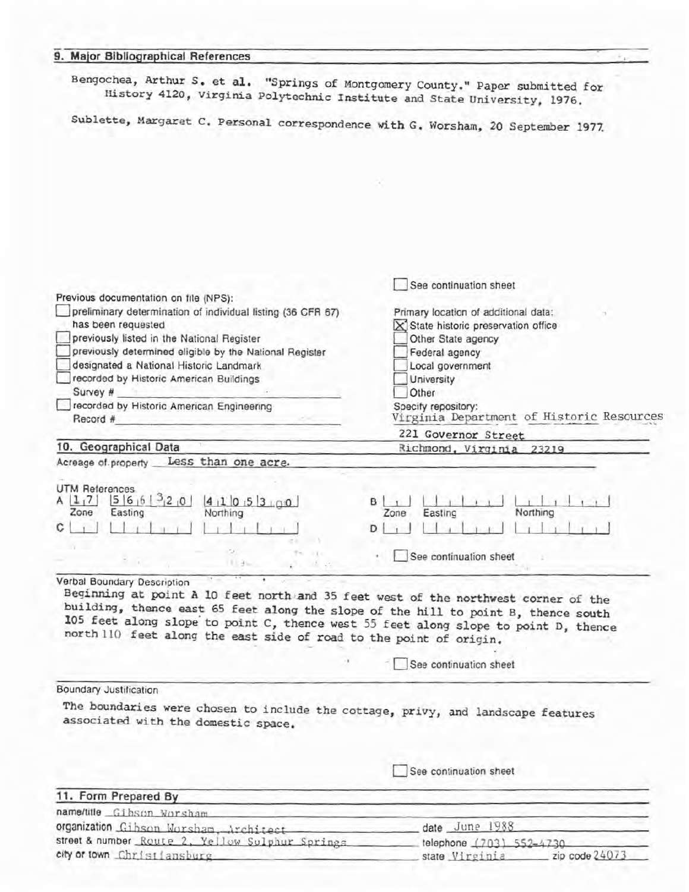| 9. Major Bibliographical References                                                                                                                         |                                                                                     |
|-------------------------------------------------------------------------------------------------------------------------------------------------------------|-------------------------------------------------------------------------------------|
| Bengochea, Arthur S. et al. "Springs of Montgomery County." Paper submitted for<br>History 4120, Virginia Polytechnic Institute and State University, 1976. |                                                                                     |
| Sublette, Margaret C. Personal correspondence with G. Worsham, 20 September 1977.                                                                           |                                                                                     |
|                                                                                                                                                             |                                                                                     |
|                                                                                                                                                             |                                                                                     |
|                                                                                                                                                             |                                                                                     |
|                                                                                                                                                             |                                                                                     |
|                                                                                                                                                             |                                                                                     |
|                                                                                                                                                             | See continuation sheet                                                              |
| Previous documentation on file (NPS):                                                                                                                       |                                                                                     |
| preliminary determination of individual listing (36 CFR 67)<br>has been requested                                                                           | Primary location of additional data:<br>$\times$ State historic preservation office |
| previously listed in the National Register                                                                                                                  | Other State agency                                                                  |
| previously determined eligible by the National Register                                                                                                     | Federal agency                                                                      |
| designated a National Historic Landmark<br>recorded by Historic American Buildings                                                                          | Local government<br>University                                                      |
| Survey #                                                                                                                                                    | Other                                                                               |
| recorded by Historic American Engineering                                                                                                                   | Specify repository:                                                                 |
| Record #                                                                                                                                                    | Virginia Department of Historic Resources                                           |
|                                                                                                                                                             | 221 Governor Street                                                                 |
| 10. Geographical Data                                                                                                                                       | Richmond, Virginia 23219                                                            |
| Less than one acre.<br>Acreage of property                                                                                                                  |                                                                                     |
|                                                                                                                                                             |                                                                                     |
| UTM References                                                                                                                                              |                                                                                     |
| $5 6 6 ^{3}$ 2 0<br>4105300<br>A[1,7]                                                                                                                       | BI<br>Northing                                                                      |
| Northing<br>Zone<br>Easting                                                                                                                                 | Easting<br>Zone                                                                     |
| С                                                                                                                                                           | D                                                                                   |
|                                                                                                                                                             | See continuation sheet                                                              |
| 11.3                                                                                                                                                        |                                                                                     |
| Verbal Boundary Description                                                                                                                                 |                                                                                     |
| Beginning at point A 10 feet north and 35 feet west of the northwest corner of the                                                                          |                                                                                     |
| building, thence east 65 feet along the slope of the hill to point B, thence south                                                                          |                                                                                     |
| 105 feet along slope to point C, thence west 55 feet along slope to point D, thence                                                                         |                                                                                     |
| north 110 feet along the east side of road to the point of origin.                                                                                          |                                                                                     |
|                                                                                                                                                             | See continuation sheet                                                              |
|                                                                                                                                                             |                                                                                     |
| <b>Boundary Justification</b>                                                                                                                               |                                                                                     |
| The boundaries were chosen to include the cottage, privy, and landscape features                                                                            |                                                                                     |
| associated with the domestic space.                                                                                                                         |                                                                                     |
|                                                                                                                                                             | See continuation sheet                                                              |
|                                                                                                                                                             |                                                                                     |
| 11. Form Prepared By                                                                                                                                        |                                                                                     |
| name/title Gibson Worsham                                                                                                                                   |                                                                                     |
| organization Gibson Worsham, Architect                                                                                                                      | date June 1988                                                                      |

| street & number Route 2, Yellow Sulphur Springs | telephone (703) 552-4730 |                |  |  |  |
|-------------------------------------------------|--------------------------|----------------|--|--|--|
| city or town Christiansburg                     | state Virginia           | zip code 24073 |  |  |  |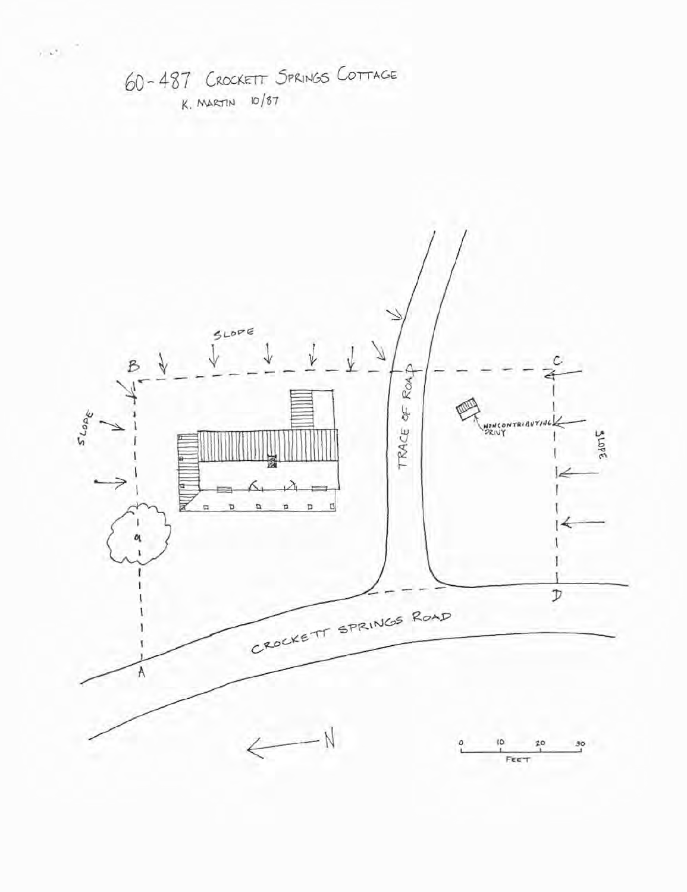



 $\sim$   $\omega_{\perp}$   $^{-1}$